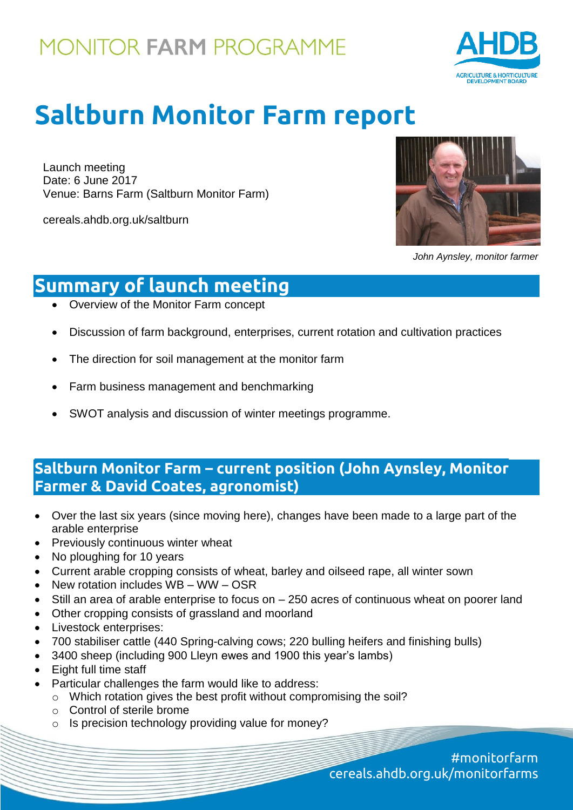

# **Saltburn Monitor Farm report**

Launch meeting Date: 6 June 2017 Venue: Barns Farm (Saltburn Monitor Farm)

cereals.ahdb.org.uk/saltburn



*John Aynsley, monitor farmer*

## **Summary of launch meeting**

- Overview of the Monitor Farm concept
- Discussion of farm background, enterprises, current rotation and cultivation practices
- The direction for soil management at the monitor farm
- Farm business management and benchmarking
- SWOT analysis and discussion of winter meetings programme.

### **Saltburn Monitor Farm – current position (John Aynsley, Monitor Farmer & David Coates, agronomist)**

- Over the last six years (since moving here), changes have been made to a large part of the arable enterprise
- Previously continuous winter wheat
- No ploughing for 10 years
- Current arable cropping consists of wheat, barley and oilseed rape, all winter sown
- New rotation includes WB WW OSR
- Still an area of arable enterprise to focus on 250 acres of continuous wheat on poorer land
- Other cropping consists of grassland and moorland
- Livestock enterprises:
- 700 stabiliser cattle (440 Spring-calving cows; 220 bulling heifers and finishing bulls)
- 3400 sheep (including 900 Lleyn ewes and 1900 this year's lambs)
- Eight full time staff
- Particular challenges the farm would like to address:
	- o Which rotation gives the best profit without compromising the soil?
	- o Control of sterile brome
	- o Is precision technology providing value for money?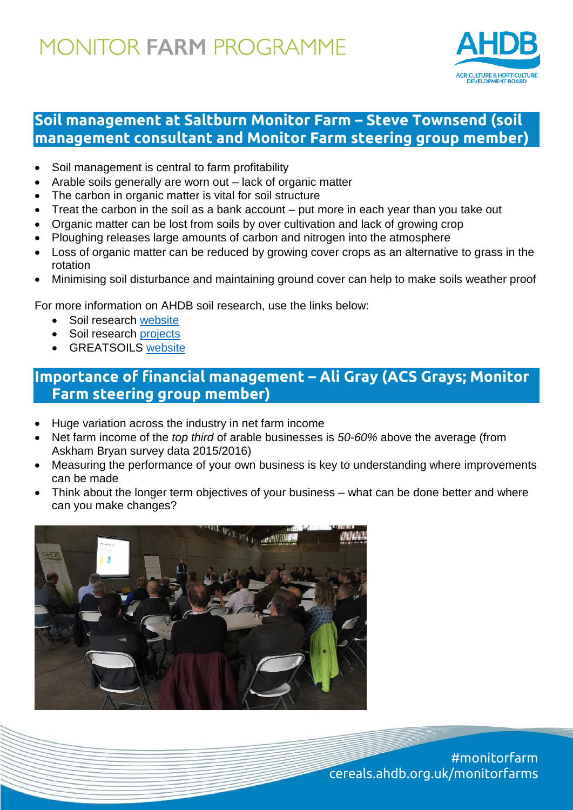

### **Soil management at Saltburn Monitor Farm – Steve Townsend (soil management consultant and Monitor Farm steering group member)**

- Soil management is central to farm profitability
- Arable soils generally are worn out lack of organic matter
- The carbon in organic matter is vital for soil structure
- Treat the carbon in the soil as a bank account put more in each year than you take out
- Organic matter can be lost from soils by over cultivation and lack of growing crop
- Ploughing releases large amounts of carbon and nitrogen into the atmosphere
- Loss of organic matter can be reduced by growing cover crops as an alternative to grass in the rotation
- Minimising soil disturbance and maintaining ground cover can help to make soils weather proof

For more information on AHDB soil research, use the links below:

- Soil research [website](https://cereals.ahdb.org.uk/research/soil-research.aspx)
- Soil research projects
- **GREATSOILS [website](https://ahdb.org.uk/projects/greatsoils.aspx)**

### **Importance of financial management – Ali Gray (ACS Grays; Monitor Farm steering group member)**

- Huge variation across the industry in net farm income
- Net farm income of the *top third* of arable businesses is *50-60%* above the average (from Askham Bryan survey data 2015/2016)
- Measuring the performance of your own business is key to understanding where improvements can be made
- Think about the longer term objectives of your business what can be done better and where can you make changes?

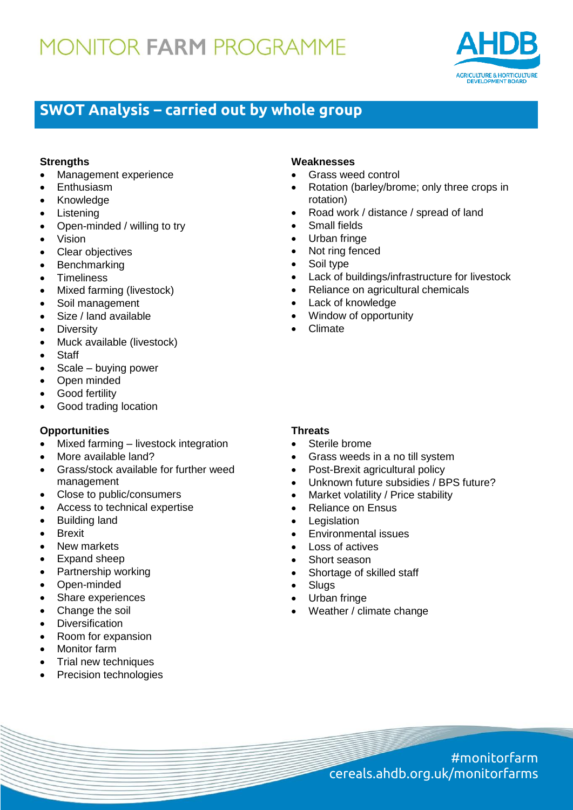

### **SWOT Analysis – carried out by whole group**

#### **Strengths**

- Management experience
- Enthusiasm
- Knowledge
- Listening
- Open-minded / willing to try
- Vision
- Clear objectives
- Benchmarking
- Timeliness
- Mixed farming (livestock)
- Soil management
- Size / land available
- Diversity
- Muck available (livestock)
- Staff
- $\bullet$  Scale buying power
- Open minded
- Good fertility
- Good trading location

#### **Opportunities**

- Mixed farming livestock integration
- More available land?
- Grass/stock available for further weed management
- Close to public/consumers
- Access to technical expertise
- Building land
- **•** Brexit
- New markets
- Expand sheep
- Partnership working
- Open-minded
- Share experiences
- Change the soil
- Diversification
- Room for expansion
- Monitor farm
- Trial new techniques
- Precision technologies

#### **Weaknesses**

- Grass weed control
- Rotation (barley/brome; only three crops in rotation)
- Road work / distance / spread of land
- Small fields
- Urban fringe
- Not ring fenced
- Soil type
- Lack of buildings/infrastructure for livestock
- Reliance on agricultural chemicals
- Lack of knowledge
- Window of opportunity
- Climate

#### **Threats**

- Sterile brome
- Grass weeds in a no till system
- Post-Brexit agricultural policy
- Unknown future subsidies / BPS future?
- Market volatility / Price stability
- Reliance on Ensus
- **Legislation**
- Environmental issues
- Loss of actives
- Short season
- Shortage of skilled staff
- **Slugs**
- Urban fringe
- Weather / climate change

#monitorfarm cereals.ahdb.org.uk/monitorfarms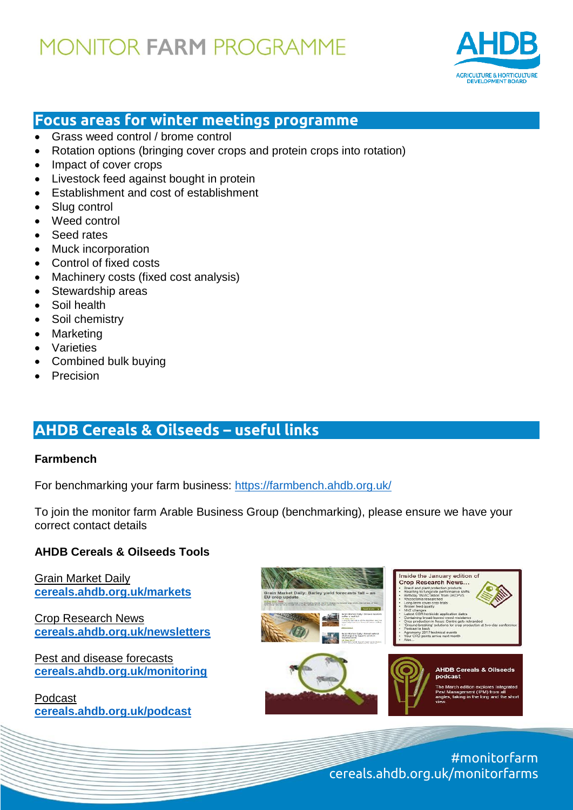

### **Focus areas for winter meetings programme**

- Grass weed control / brome control
- Rotation options (bringing cover crops and protein crops into rotation)
- Impact of cover crops
- Livestock feed against bought in protein
- Establishment and cost of establishment
- Slug control
- Weed control
- Seed rates
- Muck incorporation
- Control of fixed costs
- Machinery costs (fixed cost analysis)
- Stewardship areas
- Soil health
- Soil chemistry
- Marketing
- Varieties
- Combined bulk buying
- Precision

## **AHDB Cereals & Oilseeds – useful links**

#### **Farmbench**

For benchmarking your farm business:<https://farmbench.ahdb.org.uk/>

To join the monitor farm Arable Business Group (benchmarking), please ensure we have your correct contact details

#### **AHDB Cereals & Oilseeds Tools**

Grain Market Daily **[cereals.ahdb.org.uk/markets](http://www.cereals.ahdb.org.uk/markets)** 

Crop Research News **[cereals.ahdb.org.uk/newsletters](https://cereals.ahdb.org.uk/newsletters)**

Pest and disease forecasts **[cereals.ahdb.org.uk/monitoring](http://www.cereals.ahdb.org.uk/monitoring)** 

Podcast **[cereals.ahdb.org.uk/podcast](https://cereals.ahdb.org.uk/podcast)**



#### **AHDB Cereals & Oils** podcast

#monitorfarm cereals.ahdb.org.uk/monitorfarms

Inside the January edition of **Crop Research News...**